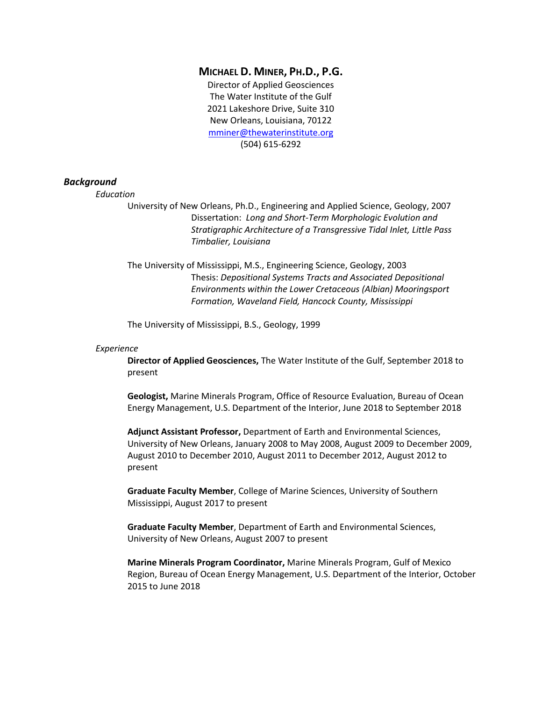# **MICHAEL D. MINER, PH.D., P.G.**

Director of Applied Geosciences The Water Institute of the Gulf 2021 Lakeshore Drive, Suite 310 New Orleans, Louisiana, 70122 [mminer@thewaterinstitute.org](mailto:mminer@thewaterinstitute.org) (504) 615-6292

## *Background*

*Education*

University of New Orleans, Ph.D., Engineering and Applied Science, Geology, 2007 Dissertation: *Long and Short-Term Morphologic Evolution and Stratigraphic Architecture of a Transgressive Tidal Inlet, Little Pass Timbalier, Louisiana*

The University of Mississippi, M.S., Engineering Science, Geology, 2003 Thesis: *Depositional Systems Tracts and Associated Depositional Environments within the Lower Cretaceous (Albian) Mooringsport Formation, Waveland Field, Hancock County, Mississippi*

The University of Mississippi, B.S., Geology, 1999

### *Experience*

**Director of Applied Geosciences,** The Water Institute of the Gulf, September 2018 to present

**Geologist,** Marine Minerals Program, Office of Resource Evaluation, Bureau of Ocean Energy Management, U.S. Department of the Interior, June 2018 to September 2018

**Adjunct Assistant Professor,** Department of Earth and Environmental Sciences, University of New Orleans, January 2008 to May 2008, August 2009 to December 2009, August 2010 to December 2010, August 2011 to December 2012, August 2012 to present

**Graduate Faculty Member**, College of Marine Sciences, University of Southern Mississippi, August 2017 to present

**Graduate Faculty Member**, Department of Earth and Environmental Sciences, University of New Orleans, August 2007 to present

**Marine Minerals Program Coordinator,** Marine Minerals Program, Gulf of Mexico Region, Bureau of Ocean Energy Management, U.S. Department of the Interior, October 2015 to June 2018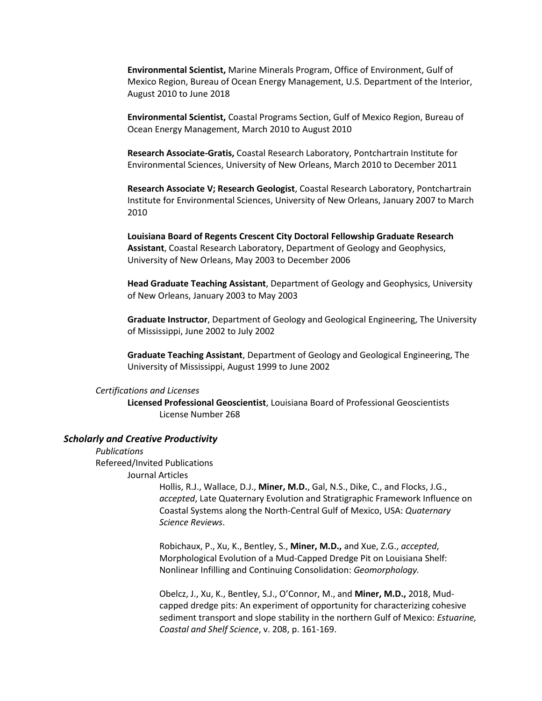**Environmental Scientist,** Marine Minerals Program, Office of Environment, Gulf of Mexico Region, Bureau of Ocean Energy Management, U.S. Department of the Interior, August 2010 to June 2018

**Environmental Scientist,** Coastal Programs Section, Gulf of Mexico Region, Bureau of Ocean Energy Management, March 2010 to August 2010

**Research Associate-Gratis,** Coastal Research Laboratory, Pontchartrain Institute for Environmental Sciences, University of New Orleans, March 2010 to December 2011

**Research Associate V; Research Geologist**, Coastal Research Laboratory, Pontchartrain Institute for Environmental Sciences, University of New Orleans, January 2007 to March 2010

**Louisiana Board of Regents Crescent City Doctoral Fellowship Graduate Research Assistant**, Coastal Research Laboratory, Department of Geology and Geophysics, University of New Orleans, May 2003 to December 2006

**Head Graduate Teaching Assistant**, Department of Geology and Geophysics, University of New Orleans, January 2003 to May 2003

**Graduate Instructor**, Department of Geology and Geological Engineering, The University of Mississippi, June 2002 to July 2002

**Graduate Teaching Assistant**, Department of Geology and Geological Engineering, The University of Mississippi, August 1999 to June 2002

### *Certifications and Licenses*

**Licensed Professional Geoscientist**, Louisiana Board of Professional Geoscientists License Number 268

### *Scholarly and Creative Productivity*

*Publications*  Refereed/Invited Publications

Journal Articles

Hollis, R.J., Wallace, D.J., **Miner, M.D.**, Gal, N.S., Dike, C., and Flocks, J.G., *accepted*, Late Quaternary Evolution and Stratigraphic Framework Influence on Coastal Systems along the North-Central Gulf of Mexico, USA: *Quaternary Science Reviews*.

Robichaux, P., Xu, K., Bentley, S., **Miner, M.D.,** and Xue, Z.G., *accepted*, Morphological Evolution of a Mud-Capped Dredge Pit on Louisiana Shelf: Nonlinear Infilling and Continuing Consolidation: *Geomorphology.*

Obelcz, J., Xu, K., Bentley, S.J., O'Connor, M., and **Miner, M.D.,** 2018, Mudcapped dredge pits: An experiment of opportunity for characterizing cohesive sediment transport and slope stability in the northern Gulf of Mexico: *Estuarine, Coastal and Shelf Science*, v. 208, p. 161-169.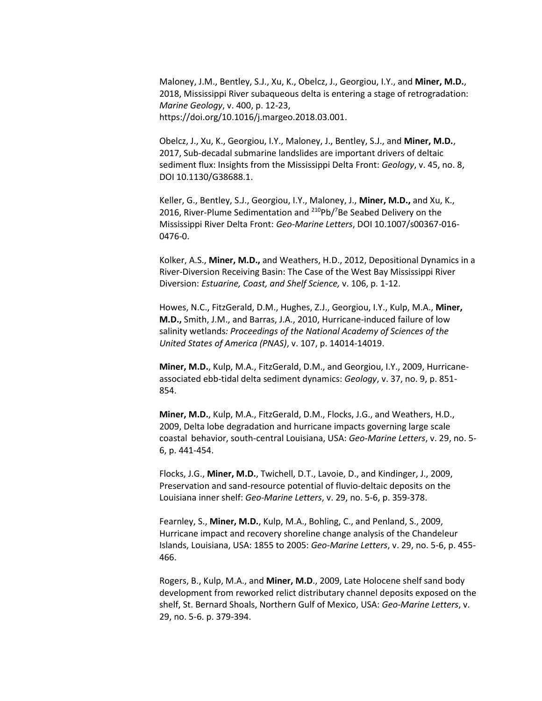Maloney, J.M., Bentley, S.J., Xu, K., Obelcz, J., Georgiou, I.Y., and **Miner, M.D.**, 2018, Mississippi River subaqueous delta is entering a stage of retrogradation: *Marine Geology*, v. 400, p. 12-23, https://doi.org/10.1016/j.margeo.2018.03.001.

Obelcz, J., Xu, K., Georgiou, I.Y., Maloney, J., Bentley, S.J., and **Miner, M.D.**, 2017, Sub-decadal submarine landslides are important drivers of deltaic sediment flux: Insights from the Mississippi Delta Front: *Geology*, v. 45, no. 8, DOI 10.1130/G38688.1.

Keller, G., Bentley, S.J., Georgiou, I.Y., Maloney, J., **Miner, M.D.,** and Xu, K., 2016, River-Plume Sedimentation and  $210Pb/7$ Be Seabed Delivery on the Mississippi River Delta Front: *Geo-Marine Letters*, DOI 10.1007/s00367-016- 0476-0.

Kolker, A.S., **Miner, M.D.,** and Weathers, H.D., 2012, Depositional Dynamics in a River-Diversion Receiving Basin: The Case of the West Bay Mississippi River Diversion: *Estuarine, Coast, and Shelf Science,* v. 106, p. 1-12.

Howes, N.C., FitzGerald, D.M., Hughes, Z.J., Georgiou, I.Y., Kulp, M.A., **Miner, M.D.,** Smith, J.M., and Barras, J.A., 2010, Hurricane-induced failure of low salinity wetlands*: Proceedings of the National Academy of Sciences of the United States of America (PNAS)*, v. 107, p. 14014-14019.

**Miner, M.D.**, Kulp, M.A., FitzGerald, D.M., and Georgiou, I.Y., 2009, Hurricaneassociated ebb-tidal delta sediment dynamics: *Geology*, v. 37, no. 9, p. 851- 854.

**Miner, M.D.**, Kulp, M.A., FitzGerald, D.M., Flocks, J.G., and Weathers, H.D., 2009, Delta lobe degradation and hurricane impacts governing large scale coastal behavior, south-central Louisiana, USA: *Geo-Marine Letters*, v. 29, no. 5- 6, p. 441-454.

Flocks, J.G., **Miner, M.D.**, Twichell, D.T., Lavoie, D., and Kindinger, J., 2009, Preservation and sand-resource potential of fluvio-deltaic deposits on the Louisiana inner shelf: *Geo-Marine Letters*, v. 29, no. 5-6, p. 359-378.

Fearnley, S., **Miner, M.D.**, Kulp, M.A., Bohling, C., and Penland, S., 2009, Hurricane impact and recovery shoreline change analysis of the Chandeleur Islands, Louisiana, USA: 1855 to 2005: *Geo-Marine Letters*, v. 29, no. 5-6, p. 455- 466.

Rogers, B., Kulp, M.A., and **Miner, M.D**., 2009, Late Holocene shelf sand body development from reworked relict distributary channel deposits exposed on the shelf, St. Bernard Shoals, Northern Gulf of Mexico, USA: *Geo-Marine Letters*, v. 29, no. 5-6. p. 379-394.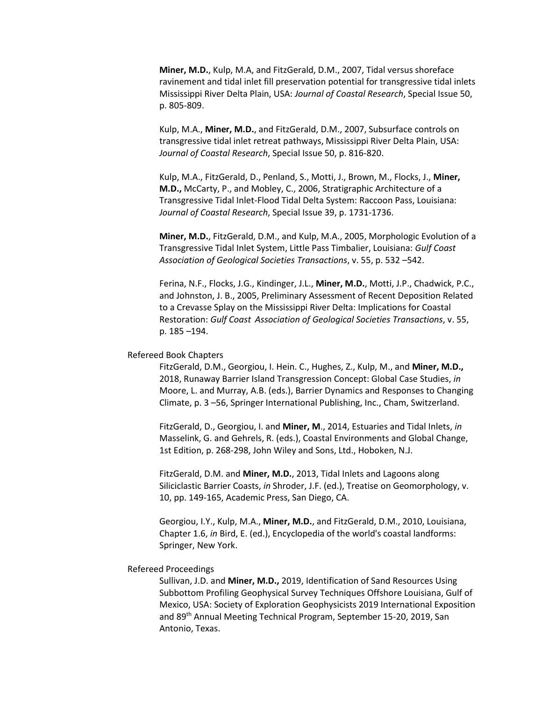**Miner, M.D.**, Kulp, M.A, and FitzGerald, D.M., 2007, Tidal versus shoreface ravinement and tidal inlet fill preservation potential for transgressive tidal inlets Mississippi River Delta Plain, USA: *Journal of Coastal Research*, Special Issue 50, p. 805-809.

Kulp, M.A., **Miner, M.D.**, and FitzGerald, D.M., 2007, Subsurface controls on transgressive tidal inlet retreat pathways, Mississippi River Delta Plain, USA: *Journal of Coastal Research*, Special Issue 50, p. 816-820.

Kulp, M.A., FitzGerald, D., Penland, S., Motti, J., Brown, M., Flocks, J., **Miner, M.D.,** McCarty, P., and Mobley, C., 2006, Stratigraphic Architecture of a Transgressive Tidal Inlet-Flood Tidal Delta System: Raccoon Pass, Louisiana: *Journal of Coastal Research*, Special Issue 39, p. 1731-1736.

**Miner, M.D.**, FitzGerald, D.M., and Kulp, M.A., 2005, Morphologic Evolution of a Transgressive Tidal Inlet System, Little Pass Timbalier, Louisiana: *Gulf Coast Association of Geological Societies Transactions*, v. 55, p. 532 –542.

Ferina, N.F., Flocks, J.G., Kindinger, J.L., **Miner, M.D.**, Motti, J.P., Chadwick, P.C., and Johnston, J. B., 2005, Preliminary Assessment of Recent Deposition Related to a Crevasse Splay on the Mississippi River Delta: Implications for Coastal Restoration: *Gulf Coast Association of Geological Societies Transactions*, v. 55, p. 185 –194.

## Refereed Book Chapters

FitzGerald, D.M., Georgiou, I. Hein. C., Hughes, Z., Kulp, M., and **Miner, M.D.,** 2018, Runaway Barrier Island Transgression Concept: Global Case Studies, *in* Moore, L. and Murray, A.B. (eds.), Barrier Dynamics and Responses to Changing Climate, p. 3 –56, Springer International Publishing, Inc., Cham, Switzerland.

FitzGerald, D., Georgiou, I. and **Miner, M**., 2014, Estuaries and Tidal Inlets, *in* Masselink, G. and Gehrels, R. (eds.), Coastal Environments and Global Change, 1st Edition, p. 268-298, John Wiley and Sons, Ltd., Hoboken, N.J.

FitzGerald, D.M. and **Miner, M.D.**, 2013, Tidal Inlets and Lagoons along Siliciclastic Barrier Coasts, *in* Shroder, J.F. (ed.), Treatise on Geomorphology, v. 10, pp. 149-165, Academic Press, San Diego, CA.

Georgiou, I.Y., Kulp, M.A., **Miner, M.D.**, and FitzGerald, D.M., 2010, Louisiana, Chapter 1.6, *in* Bird, E. (ed.), Encyclopedia of the world's coastal landforms: Springer, New York.

#### Refereed Proceedings

Sullivan, J.D. and **Miner, M.D.,** 2019, Identification of Sand Resources Using Subbottom Profiling Geophysical Survey Techniques Offshore Louisiana, Gulf of Mexico, USA: Society of Exploration Geophysicists 2019 International Exposition and 89th Annual Meeting Technical Program, September 15-20, 2019, San Antonio, Texas.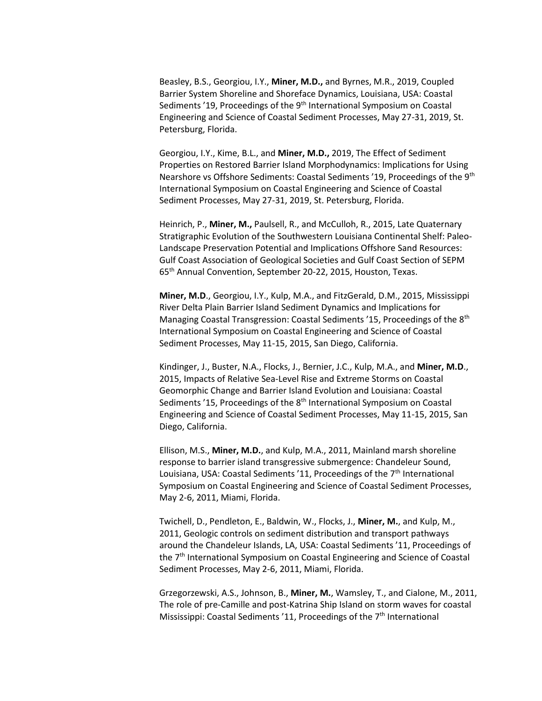Beasley, B.S., Georgiou, I.Y., **Miner, M.D.,** and Byrnes, M.R., 2019, Coupled Barrier System Shoreline and Shoreface Dynamics, Louisiana, USA: Coastal Sediments '19, Proceedings of the 9<sup>th</sup> International Symposium on Coastal Engineering and Science of Coastal Sediment Processes, May 27-31, 2019, St. Petersburg, Florida.

Georgiou, I.Y., Kime, B.L., and **Miner, M.D.,** 2019, The Effect of Sediment Properties on Restored Barrier Island Morphodynamics: Implications for Using Nearshore vs Offshore Sediments: Coastal Sediments '19, Proceedings of the 9th International Symposium on Coastal Engineering and Science of Coastal Sediment Processes, May 27-31, 2019, St. Petersburg, Florida.

Heinrich, P., **Miner, M.,** Paulsell, R., and McCulloh, R., 2015, Late Quaternary Stratigraphic Evolution of the Southwestern Louisiana Continental Shelf: Paleo-Landscape Preservation Potential and Implications Offshore Sand Resources: Gulf Coast Association of Geological Societies and Gulf Coast Section of SEPM 65th Annual Convention, September 20-22, 2015, Houston, Texas.

**Miner, M.D**., Georgiou, I.Y., Kulp, M.A., and FitzGerald, D.M., 2015, Mississippi River Delta Plain Barrier Island Sediment Dynamics and Implications for Managing Coastal Transgression: Coastal Sediments '15, Proceedings of the 8th International Symposium on Coastal Engineering and Science of Coastal Sediment Processes, May 11-15, 2015, San Diego, California.

Kindinger, J., Buster, N.A., Flocks, J., Bernier, J.C., Kulp, M.A., and **Miner, M.D**., 2015, Impacts of Relative Sea-Level Rise and Extreme Storms on Coastal Geomorphic Change and Barrier Island Evolution and Louisiana: Coastal Sediments '15, Proceedings of the 8<sup>th</sup> International Symposium on Coastal Engineering and Science of Coastal Sediment Processes, May 11-15, 2015, San Diego, California.

Ellison, M.S., **Miner, M.D.**, and Kulp, M.A., 2011, Mainland marsh shoreline response to barrier island transgressive submergence: Chandeleur Sound, Louisiana, USA: Coastal Sediments '11, Proceedings of the 7<sup>th</sup> International Symposium on Coastal Engineering and Science of Coastal Sediment Processes, May 2-6, 2011, Miami, Florida.

Twichell, D., Pendleton, E., Baldwin, W., Flocks, J., **Miner, M.**, and Kulp, M., 2011, Geologic controls on sediment distribution and transport pathways around the Chandeleur Islands, LA, USA: Coastal Sediments '11, Proceedings of the 7<sup>th</sup> International Symposium on Coastal Engineering and Science of Coastal Sediment Processes, May 2-6, 2011, Miami, Florida.

Grzegorzewski, A.S., Johnson, B., **Miner, M.**, Wamsley, T., and Cialone, M., 2011, The role of pre-Camille and post-Katrina Ship Island on storm waves for coastal Mississippi: Coastal Sediments '11, Proceedings of the 7<sup>th</sup> International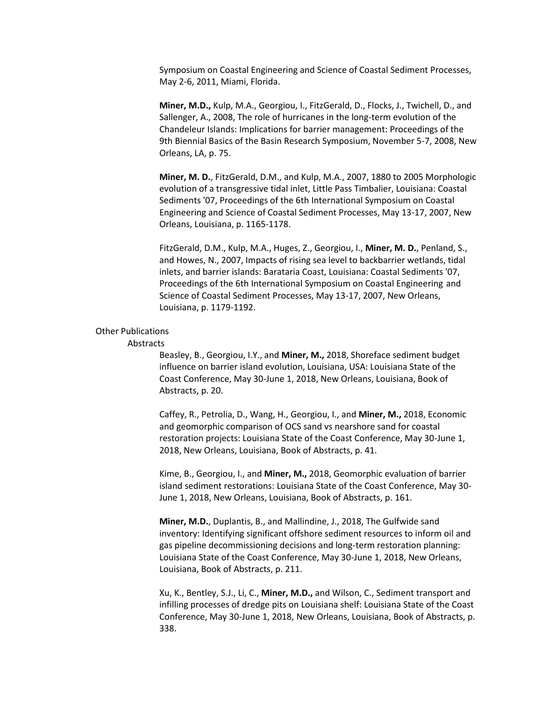Symposium on Coastal Engineering and Science of Coastal Sediment Processes, May 2-6, 2011, Miami, Florida.

**Miner, M.D.,** Kulp, M.A., Georgiou, I., FitzGerald, D., Flocks, J., Twichell, D., and Sallenger, A., 2008, The role of hurricanes in the long-term evolution of the Chandeleur Islands: Implications for barrier management: Proceedings of the 9th Biennial Basics of the Basin Research Symposium, November 5-7, 2008, New Orleans, LA, p. 75.

**Miner, M. D.**, FitzGerald, D.M., and Kulp, M.A., 2007, 1880 to 2005 Morphologic evolution of a transgressive tidal inlet, Little Pass Timbalier, Louisiana: Coastal Sediments '07, Proceedings of the 6th International Symposium on Coastal Engineering and Science of Coastal Sediment Processes, May 13-17, 2007, New Orleans, Louisiana, p. 1165-1178.

FitzGerald, D.M., Kulp, M.A., Huges, Z., Georgiou, I., **Miner, M. D.**, Penland, S., and Howes, N., 2007, Impacts of rising sea level to backbarrier wetlands, tidal inlets, and barrier islands: Barataria Coast, Louisiana: Coastal Sediments '07, Proceedings of the 6th International Symposium on Coastal Engineering and Science of Coastal Sediment Processes, May 13-17, 2007, New Orleans, Louisiana, p. 1179-1192.

### Other Publications

## Abstracts

Beasley, B., Georgiou, I.Y., and **Miner, M.,** 2018, Shoreface sediment budget influence on barrier island evolution, Louisiana, USA: Louisiana State of the Coast Conference, May 30-June 1, 2018, New Orleans, Louisiana, Book of Abstracts, p. 20.

Caffey, R., Petrolia, D., Wang, H., Georgiou, I., and **Miner, M.,** 2018, Economic and geomorphic comparison of OCS sand vs nearshore sand for coastal restoration projects: Louisiana State of the Coast Conference, May 30-June 1, 2018, New Orleans, Louisiana, Book of Abstracts, p. 41.

Kime, B., Georgiou, I., and **Miner, M.,** 2018, Geomorphic evaluation of barrier island sediment restorations: Louisiana State of the Coast Conference, May 30- June 1, 2018, New Orleans, Louisiana, Book of Abstracts, p. 161.

**Miner, M.D.**, Duplantis, B., and Mallindine, J., 2018, The Gulfwide sand inventory: Identifying significant offshore sediment resources to inform oil and gas pipeline decommissioning decisions and long-term restoration planning: Louisiana State of the Coast Conference, May 30-June 1, 2018, New Orleans, Louisiana, Book of Abstracts, p. 211.

Xu, K., Bentley, S.J., Li, C., **Miner, M.D.,** and Wilson, C., Sediment transport and infilling processes of dredge pits on Louisiana shelf: Louisiana State of the Coast Conference, May 30-June 1, 2018, New Orleans, Louisiana, Book of Abstracts, p. 338.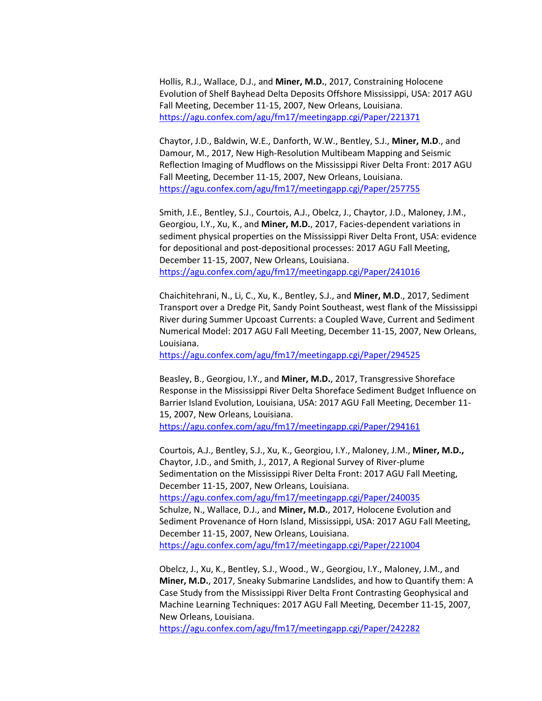Hollis, R.J., Wallace, D.J., and **Miner, M.D.**, 2017, Constraining Holocene Evolution of Shelf Bayhead Delta Deposits Offshore Mississippi, USA: 2017 AGU Fall Meeting, December 11-15, 2007, New Orleans, Louisiana. <https://agu.confex.com/agu/fm17/meetingapp.cgi/Paper/221371>

Chaytor, J.D., Baldwin, W.E., Danforth, W.W., Bentley, S.J., **Miner, M.D**., and Damour, M., 2017, New High-Resolution Multibeam Mapping and Seismic Reflection Imaging of Mudflows on the Mississippi River Delta Front: 2017 AGU Fall Meeting, December 11-15, 2007, New Orleans, Louisiana. <https://agu.confex.com/agu/fm17/meetingapp.cgi/Paper/257755>

Smith, J.E., Bentley, S.J., Courtois, A.J., Obelcz, J., Chaytor, J.D., Maloney, J.M., Georgiou, I.Y., Xu, K., and **Miner, M.D.**, 2017, Facies-dependent variations in sediment physical properties on the Mississippi River Delta Front, USA: evidence for depositional and post-depositional processes: 2017 AGU Fall Meeting, December 11-15, 2007, New Orleans, Louisiana. <https://agu.confex.com/agu/fm17/meetingapp.cgi/Paper/241016>

Chaichitehrani, N., Li, C., Xu, K., Bentley, S.J., and **Miner, M.D**., 2017, Sediment Transport over a Dredge Pit, Sandy Point Southeast, west flank of the Mississippi River during Summer Upcoast Currents: a Coupled Wave, Current and Sediment Numerical Model: 2017 AGU Fall Meeting, December 11-15, 2007, New Orleans, Louisiana.

<https://agu.confex.com/agu/fm17/meetingapp.cgi/Paper/294525>

Beasley, B., Georgiou, I.Y., and **Miner, M.D.**, 2017, Transgressive Shoreface Response in the Mississippi River Delta Shoreface Sediment Budget Influence on Barrier Island Evolution, Louisiana, USA: 2017 AGU Fall Meeting, December 11- 15, 2007, New Orleans, Louisiana. <https://agu.confex.com/agu/fm17/meetingapp.cgi/Paper/294161>

Courtois, A.J., Bentley, S.J., Xu, K., Georgiou, I.Y., Maloney, J.M., **Miner, M.D.,** Chaytor, J.D., and Smith, J., 2017, A Regional Survey of River-plume Sedimentation on the Mississippi River Delta Front: 2017 AGU Fall Meeting, December 11-15, 2007, New Orleans, Louisiana. <https://agu.confex.com/agu/fm17/meetingapp.cgi/Paper/240035> Schulze, N., Wallace, D.J., and **Miner, M.D.**, 2017, Holocene Evolution and Sediment Provenance of Horn Island, Mississippi, USA: 2017 AGU Fall Meeting, December 11-15, 2007, New Orleans, Louisiana. <https://agu.confex.com/agu/fm17/meetingapp.cgi/Paper/221004>

Obelcz, J., Xu, K., Bentley, S.J., Wood., W., Georgiou, I.Y., Maloney, J.M., and **Miner, M.D.**, 2017, Sneaky Submarine Landslides, and how to Quantify them: A Case Study from the Mississippi River Delta Front Contrasting Geophysical and Machine Learning Techniques: 2017 AGU Fall Meeting, December 11-15, 2007, New Orleans, Louisiana.

<https://agu.confex.com/agu/fm17/meetingapp.cgi/Paper/242282>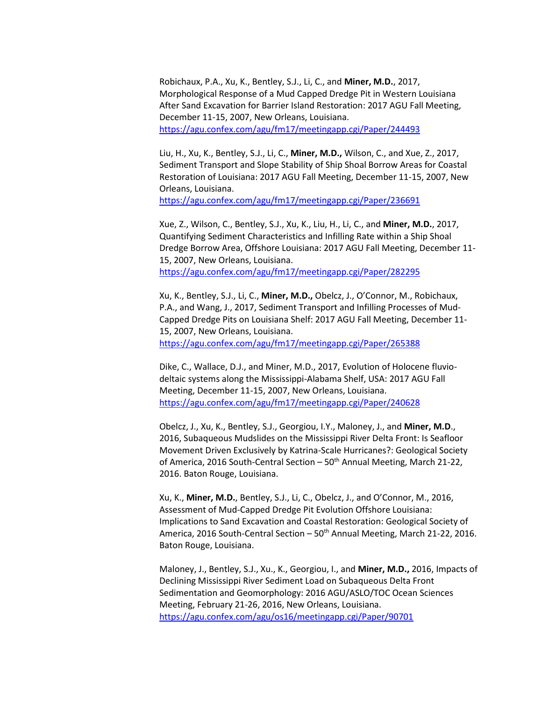Robichaux, P.A., Xu, K., Bentley, S.J., Li, C., and **Miner, M.D.**, 2017, Morphological Response of a Mud Capped Dredge Pit in Western Louisiana After Sand Excavation for Barrier Island Restoration: 2017 AGU Fall Meeting, December 11-15, 2007, New Orleans, Louisiana. <https://agu.confex.com/agu/fm17/meetingapp.cgi/Paper/244493>

Liu, H., Xu, K., Bentley, S.J., Li, C., **Miner, M.D.,** Wilson, C., and Xue, Z., 2017, Sediment Transport and Slope Stability of Ship Shoal Borrow Areas for Coastal Restoration of Louisiana: 2017 AGU Fall Meeting, December 11-15, 2007, New Orleans, Louisiana.

<https://agu.confex.com/agu/fm17/meetingapp.cgi/Paper/236691>

Xue, Z., Wilson, C., Bentley, S.J., Xu, K., Liu, H., Li, C., and **Miner, M.D.**, 2017, Quantifying Sediment Characteristics and Infilling Rate within a Ship Shoal Dredge Borrow Area, Offshore Louisiana: 2017 AGU Fall Meeting, December 11- 15, 2007, New Orleans, Louisiana. <https://agu.confex.com/agu/fm17/meetingapp.cgi/Paper/282295>

Xu, K., Bentley, S.J., Li, C., **Miner, M.D.,** Obelcz, J., O'Connor, M., Robichaux, P.A., and Wang, J., 2017, Sediment Transport and Infilling Processes of Mud-Capped Dredge Pits on Louisiana Shelf: 2017 AGU Fall Meeting, December 11- 15, 2007, New Orleans, Louisiana. <https://agu.confex.com/agu/fm17/meetingapp.cgi/Paper/265388>

Dike, C., Wallace, D.J., and Miner, M.D., 2017, Evolution of Holocene fluviodeltaic systems along the Mississippi-Alabama Shelf, USA: 2017 AGU Fall Meeting, December 11-15, 2007, New Orleans, Louisiana. <https://agu.confex.com/agu/fm17/meetingapp.cgi/Paper/240628>

Obelcz, J., Xu, K., Bentley, S.J., Georgiou, I.Y., Maloney, J., and **Miner, M.D**., 2016, Subaqueous Mudslides on the Mississippi River Delta Front: Is Seafloor Movement Driven Exclusively by Katrina-Scale Hurricanes?: Geological Society of America, 2016 South-Central Section - 50<sup>th</sup> Annual Meeting, March 21-22, 2016. Baton Rouge, Louisiana.

Xu, K., **Miner, M.D.**, Bentley, S.J., Li, C., Obelcz, J., and O'Connor, M., 2016, Assessment of Mud-Capped Dredge Pit Evolution Offshore Louisiana: Implications to Sand Excavation and Coastal Restoration: Geological Society of America, 2016 South-Central Section  $-50<sup>th</sup>$  Annual Meeting, March 21-22, 2016. Baton Rouge, Louisiana.

Maloney, J., Bentley, S.J., Xu., K., Georgiou, I., and **Miner, M.D.,** 2016, Impacts of Declining Mississippi River Sediment Load on Subaqueous Delta Front Sedimentation and Geomorphology: 2016 AGU/ASLO/TOC Ocean Sciences Meeting, February 21-26, 2016, New Orleans, Louisiana. <https://agu.confex.com/agu/os16/meetingapp.cgi/Paper/90701>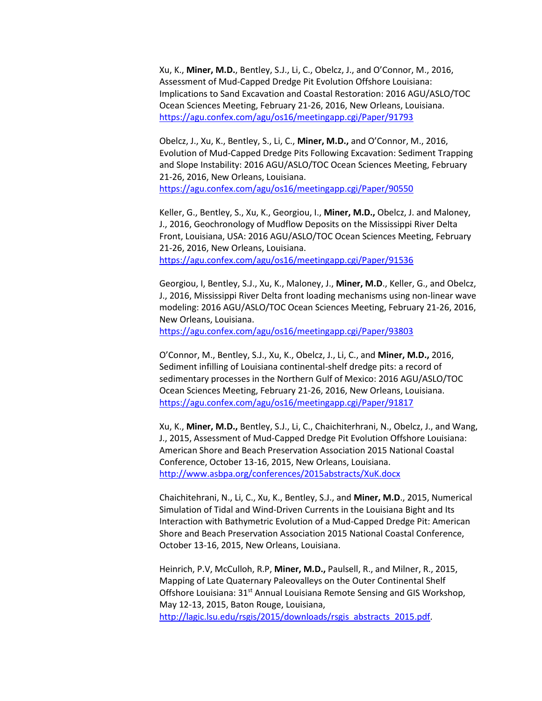Xu, K., **Miner, M.D.**, Bentley, S.J., Li, C., Obelcz, J., and O'Connor, M., 2016, Assessment of Mud-Capped Dredge Pit Evolution Offshore Louisiana: Implications to Sand Excavation and Coastal Restoration: 2016 AGU/ASLO/TOC Ocean Sciences Meeting, February 21-26, 2016, New Orleans, Louisiana. <https://agu.confex.com/agu/os16/meetingapp.cgi/Paper/91793>

Obelcz, J., Xu, K., Bentley, S., Li, C., **Miner, M.D.,** and O'Connor, M., 2016, Evolution of Mud-Capped Dredge Pits Following Excavation: Sediment Trapping and Slope Instability: 2016 AGU/ASLO/TOC Ocean Sciences Meeting, February 21-26, 2016, New Orleans, Louisiana.

<https://agu.confex.com/agu/os16/meetingapp.cgi/Paper/90550>

Keller, G., Bentley, S., Xu, K., Georgiou, I., **Miner, M.D.,** Obelcz, J. and Maloney, J., 2016, Geochronology of Mudflow Deposits on the Mississippi River Delta Front, Louisiana, USA: 2016 AGU/ASLO/TOC Ocean Sciences Meeting, February 21-26, 2016, New Orleans, Louisiana. <https://agu.confex.com/agu/os16/meetingapp.cgi/Paper/91536>

Georgiou, I, Bentley, S.J., Xu, K., Maloney, J., **Miner, M.D**., Keller, G., and Obelcz, J., 2016, Mississippi River Delta front loading mechanisms using non-linear wave modeling: 2016 AGU/ASLO/TOC Ocean Sciences Meeting, February 21-26, 2016, New Orleans, Louisiana.

<https://agu.confex.com/agu/os16/meetingapp.cgi/Paper/93803>

O'Connor, M., Bentley, S.J., Xu, K., Obelcz, J., Li, C., and **Miner, M.D.,** 2016, Sediment infilling of Louisiana continental-shelf dredge pits: a record of sedimentary processes in the Northern Gulf of Mexico: 2016 AGU/ASLO/TOC Ocean Sciences Meeting, February 21-26, 2016, New Orleans, Louisiana. <https://agu.confex.com/agu/os16/meetingapp.cgi/Paper/91817>

Xu, K., **Miner, M.D.,** Bentley, S.J., Li, C., Chaichiterhrani, N., Obelcz, J., and Wang, J., 2015, Assessment of Mud-Capped Dredge Pit Evolution Offshore Louisiana: American Shore and Beach Preservation Association 2015 National Coastal Conference, October 13-16, 2015, New Orleans, Louisiana. <http://www.asbpa.org/conferences/2015abstracts/XuK.docx>

Chaichitehrani, N., Li, C., Xu, K., Bentley, S.J., and **Miner, M.D**., 2015, Numerical Simulation of Tidal and Wind-Driven Currents in the Louisiana Bight and Its Interaction with Bathymetric Evolution of a Mud-Capped Dredge Pit: American Shore and Beach Preservation Association 2015 National Coastal Conference, October 13-16, 2015, New Orleans, Louisiana.

Heinrich, P.V, McCulloh, R.P, **Miner, M.D.,** Paulsell, R., and Milner, R., 2015, Mapping of Late Quaternary Paleovalleys on the Outer Continental Shelf Offshore Louisiana: 31<sup>st</sup> Annual Louisiana Remote Sensing and GIS Workshop, May 12-13, 2015, Baton Rouge, Louisiana, [http://lagic.lsu.edu/rsgis/2015/downloads/rsgis\\_abstracts\\_2015.pdf.](http://lagic.lsu.edu/rsgis/2015/downloads/rsgis_abstracts_2015.pdf)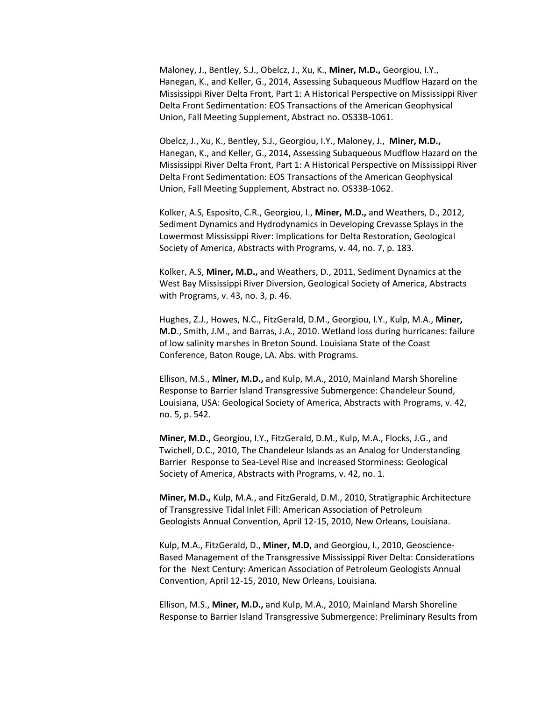Maloney, J., Bentley, S.J., Obelcz, J., Xu, K., **Miner, M.D.,** Georgiou, I.Y., Hanegan, K., and Keller, G., 2014, Assessing Subaqueous Mudflow Hazard on the Mississippi River Delta Front, Part 1: A Historical Perspective on Mississippi River Delta Front Sedimentation: EOS Transactions of the American Geophysical Union, Fall Meeting Supplement, Abstract no. OS33B-1061.

Obelcz, J., Xu, K., Bentley, S.J., Georgiou, I.Y., Maloney, J., **Miner, M.D.,**  Hanegan, K., and Keller, G., 2014, Assessing Subaqueous Mudflow Hazard on the Mississippi River Delta Front, Part 1: A Historical Perspective on Mississippi River Delta Front Sedimentation: EOS Transactions of the American Geophysical Union, Fall Meeting Supplement, Abstract no. OS33B-1062.

Kolker, A.S, Esposito, C.R., Georgiou, I., **Miner, M.D.,** and Weathers, D., 2012, Sediment Dynamics and Hydrodynamics in Developing Crevasse Splays in the Lowermost Mississippi River: Implications for Delta Restoration, Geological Society of America, Abstracts with Programs, v. 44, no. 7, p. 183.

Kolker, A.S, **Miner, M.D.,** and Weathers, D., 2011, Sediment Dynamics at the West Bay Mississippi River Diversion, Geological Society of America, Abstracts with Programs, v. 43, no. 3, p. 46.

Hughes, Z.J., Howes, N.C., FitzGerald, D.M., Georgiou, I.Y., Kulp, M.A., **Miner, M.D**., Smith, J.M., and Barras, J.A., 2010. Wetland loss during hurricanes: failure of low salinity marshes in Breton Sound. Louisiana State of the Coast Conference, Baton Rouge, LA. Abs. with Programs.

Ellison, M.S., **Miner, M.D.,** and Kulp, M.A., 2010, Mainland Marsh Shoreline Response to Barrier Island Transgressive Submergence: Chandeleur Sound, Louisiana, USA: Geological Society of America, Abstracts with Programs, v. 42, no. 5, p. 542.

**Miner, M.D.,** Georgiou, I.Y., FitzGerald, D.M., Kulp, M.A., Flocks, J.G., and Twichell, D.C., 2010, The Chandeleur Islands as an Analog for Understanding Barrier Response to Sea-Level Rise and Increased Storminess: Geological Society of America, Abstracts with Programs, v. 42, no. 1.

**Miner, M.D.,** Kulp, M.A., and FitzGerald, D.M., 2010, Stratigraphic Architecture of Transgressive Tidal Inlet Fill: American Association of Petroleum Geologists Annual Convention, April 12-15, 2010, New Orleans, Louisiana.

Kulp, M.A., FitzGerald, D., **Miner, M.D**, and Georgiou, I., 2010, Geoscience-Based Management of the Transgressive Mississippi River Delta: Considerations for the Next Century: American Association of Petroleum Geologists Annual Convention, April 12-15, 2010, New Orleans, Louisiana.

Ellison, M.S., **Miner, M.D.,** and Kulp, M.A., 2010, Mainland Marsh Shoreline Response to Barrier Island Transgressive Submergence: Preliminary Results from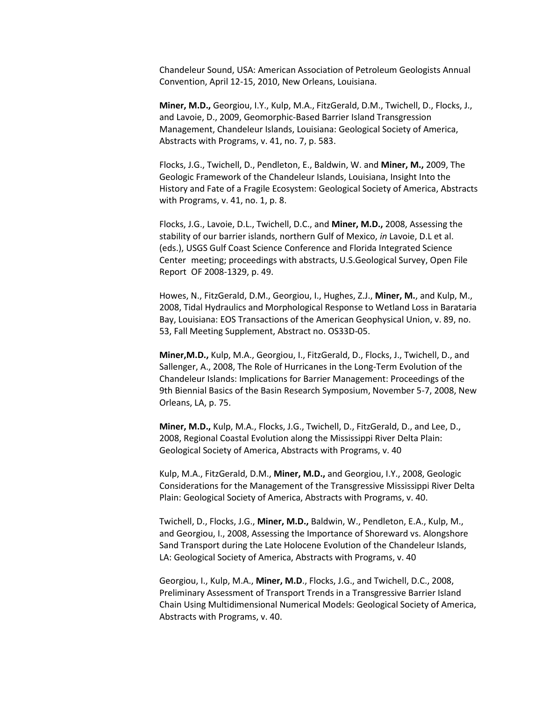Chandeleur Sound, USA: American Association of Petroleum Geologists Annual Convention, April 12-15, 2010, New Orleans, Louisiana.

**Miner, M.D.,** Georgiou, I.Y., Kulp, M.A., FitzGerald, D.M., Twichell, D., Flocks, J., and Lavoie, D., 2009, Geomorphic-Based Barrier Island Transgression Management, Chandeleur Islands, Louisiana: Geological Society of America, Abstracts with Programs, v. 41, no. 7, p. 583.

Flocks, J.G., Twichell, D., Pendleton, E., Baldwin, W. and **Miner, M.,** 2009, The Geologic Framework of the Chandeleur Islands, Louisiana, Insight Into the History and Fate of a Fragile Ecosystem: Geological Society of America, Abstracts with Programs, v. 41, no. 1, p. 8.

Flocks, J.G., Lavoie, D.L., Twichell, D.C., and **Miner, M.D.,** 2008, Assessing the stability of our barrier islands, northern Gulf of Mexico, *in* Lavoie, D.L et al. (eds.), USGS Gulf Coast Science Conference and Florida Integrated Science Center meeting; proceedings with abstracts, U.S.Geological Survey, Open File Report OF 2008-1329, p. 49.

Howes, N., FitzGerald, D.M., Georgiou, I., Hughes, Z.J., **Miner, M.**, and Kulp, M., 2008, Tidal Hydraulics and Morphological Response to Wetland Loss in Barataria Bay, Louisiana: EOS Transactions of the American Geophysical Union, v. 89, no. 53, Fall Meeting Supplement, Abstract no. OS33D-05.

**Miner,M.D.,** Kulp, M.A., Georgiou, I., FitzGerald, D., Flocks, J., Twichell, D., and Sallenger, A., 2008, The Role of Hurricanes in the Long-Term Evolution of the Chandeleur Islands: Implications for Barrier Management: Proceedings of the 9th Biennial Basics of the Basin Research Symposium, November 5-7, 2008, New Orleans, LA, p. 75.

**Miner, M.D.,** Kulp, M.A., Flocks, J.G., Twichell, D., FitzGerald, D., and Lee, D., 2008, Regional Coastal Evolution along the Mississippi River Delta Plain: Geological Society of America, Abstracts with Programs, v. 40

Kulp, M.A., FitzGerald, D.M., **Miner, M.D.,** and Georgiou, I.Y., 2008, Geologic Considerations for the Management of the Transgressive Mississippi River Delta Plain: Geological Society of America, Abstracts with Programs, v. 40.

Twichell, D., Flocks, J.G., **Miner, M.D.,** Baldwin, W., Pendleton, E.A., Kulp, M., and Georgiou, I., 2008, Assessing the Importance of Shoreward vs. Alongshore Sand Transport during the Late Holocene Evolution of the Chandeleur Islands, LA: Geological Society of America, Abstracts with Programs, v. 40

Georgiou, I., Kulp, M.A., **Miner, M.D**., Flocks, J.G., and Twichell, D.C., 2008, Preliminary Assessment of Transport Trends in a Transgressive Barrier Island Chain Using Multidimensional Numerical Models: Geological Society of America, Abstracts with Programs, v. 40.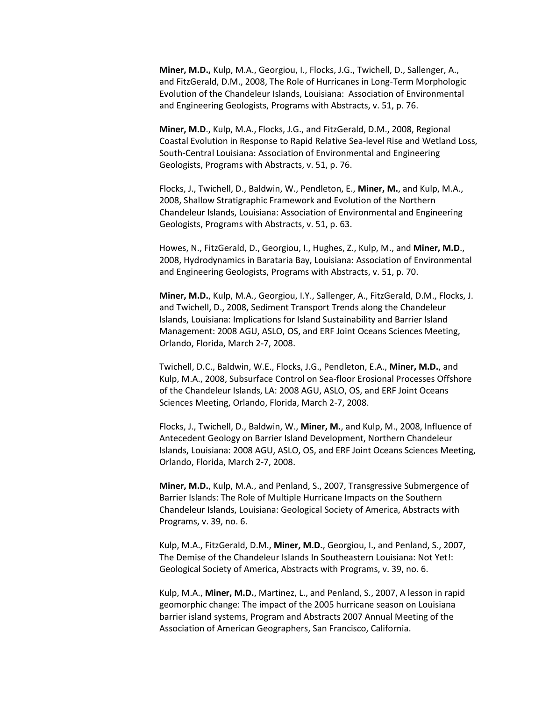**Miner, M.D.,** Kulp, M.A., Georgiou, I., Flocks, J.G., Twichell, D., Sallenger, A., and FitzGerald, D.M., 2008, The Role of Hurricanes in Long-Term Morphologic Evolution of the Chandeleur Islands, Louisiana: Association of Environmental and Engineering Geologists, Programs with Abstracts, v. 51, p. 76.

**Miner, M.D**., Kulp, M.A., Flocks, J.G., and FitzGerald, D.M., 2008, Regional Coastal Evolution in Response to Rapid Relative Sea-level Rise and Wetland Loss, South-Central Louisiana: Association of Environmental and Engineering Geologists, Programs with Abstracts, v. 51, p. 76.

Flocks, J., Twichell, D., Baldwin, W., Pendleton, E., **Miner, M.**, and Kulp, M.A., 2008, Shallow Stratigraphic Framework and Evolution of the Northern Chandeleur Islands, Louisiana: Association of Environmental and Engineering Geologists, Programs with Abstracts, v. 51, p. 63.

Howes, N., FitzGerald, D., Georgiou, I., Hughes, Z., Kulp, M., and **Miner, M.D**., 2008, Hydrodynamics in Barataria Bay, Louisiana: Association of Environmental and Engineering Geologists, Programs with Abstracts, v. 51, p. 70.

**Miner, M.D.**, Kulp, M.A., Georgiou, I.Y., Sallenger, A., FitzGerald, D.M., Flocks, J. and Twichell, D., 2008, Sediment Transport Trends along the Chandeleur Islands, Louisiana: Implications for Island Sustainability and Barrier Island Management: 2008 AGU, ASLO, OS, and ERF Joint Oceans Sciences Meeting, Orlando, Florida, March 2-7, 2008.

Twichell, D.C., Baldwin, W.E., Flocks, J.G., Pendleton, E.A., **Miner, M.D.**, and Kulp, M.A., 2008, Subsurface Control on Sea-floor Erosional Processes Offshore of the Chandeleur Islands, LA: 2008 AGU, ASLO, OS, and ERF Joint Oceans Sciences Meeting, Orlando, Florida, March 2-7, 2008.

Flocks, J., Twichell, D., Baldwin, W., **Miner, M.**, and Kulp, M., 2008, Influence of Antecedent Geology on Barrier Island Development, Northern Chandeleur Islands, Louisiana: 2008 AGU, ASLO, OS, and ERF Joint Oceans Sciences Meeting, Orlando, Florida, March 2-7, 2008.

**Miner, M.D.**, Kulp, M.A., and Penland, S., 2007, Transgressive Submergence of Barrier Islands: The Role of Multiple Hurricane Impacts on the Southern Chandeleur Islands, Louisiana: Geological Society of America, Abstracts with Programs, v. 39, no. 6.

Kulp, M.A., FitzGerald, D.M., **Miner, M.D.**, Georgiou, I., and Penland, S., 2007, The Demise of the Chandeleur Islands In Southeastern Louisiana: Not Yet!: Geological Society of America, Abstracts with Programs, v. 39, no. 6.

Kulp, M.A., **Miner, M.D.**, Martinez, L., and Penland, S., 2007, A lesson in rapid geomorphic change: The impact of the 2005 hurricane season on Louisiana barrier island systems, Program and Abstracts 2007 Annual Meeting of the Association of American Geographers, San Francisco, California.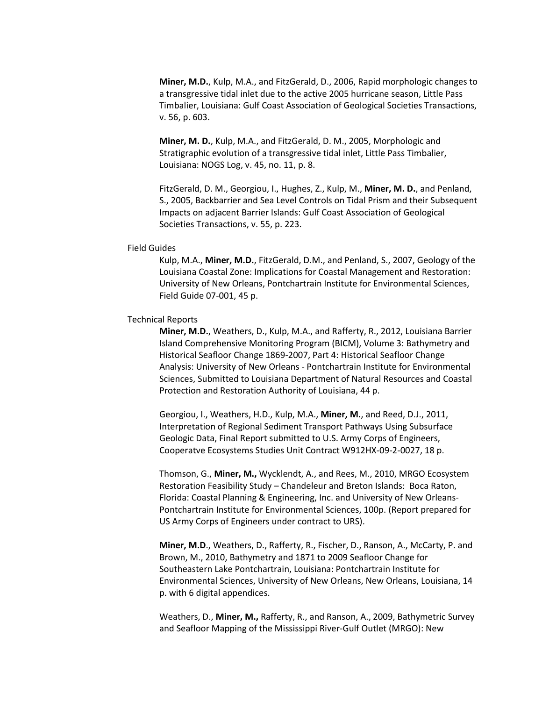**Miner, M.D.**, Kulp, M.A., and FitzGerald, D., 2006, Rapid morphologic changes to a transgressive tidal inlet due to the active 2005 hurricane season, Little Pass Timbalier, Louisiana: Gulf Coast Association of Geological Societies Transactions, v. 56, p. 603.

**Miner, M. D.**, Kulp, M.A., and FitzGerald, D. M., 2005, Morphologic and Stratigraphic evolution of a transgressive tidal inlet, Little Pass Timbalier, Louisiana: NOGS Log, v. 45, no. 11, p. 8.

FitzGerald, D. M., Georgiou, I., Hughes, Z., Kulp, M., **Miner, M. D.**, and Penland, S., 2005, Backbarrier and Sea Level Controls on Tidal Prism and their Subsequent Impacts on adjacent Barrier Islands: Gulf Coast Association of Geological Societies Transactions, v. 55, p. 223.

### Field Guides

Kulp, M.A., **Miner, M.D.**, FitzGerald, D.M., and Penland, S., 2007, Geology of the Louisiana Coastal Zone: Implications for Coastal Management and Restoration: University of New Orleans, Pontchartrain Institute for Environmental Sciences, Field Guide 07-001, 45 p.

### Technical Reports

**Miner, M.D.**, Weathers, D., Kulp, M.A., and Rafferty, R., 2012, Louisiana Barrier Island Comprehensive Monitoring Program (BICM), Volume 3: Bathymetry and Historical Seafloor Change 1869-2007, Part 4: Historical Seafloor Change Analysis: University of New Orleans - Pontchartrain Institute for Environmental Sciences, Submitted to Louisiana Department of Natural Resources and Coastal Protection and Restoration Authority of Louisiana, 44 p.

Georgiou, I., Weathers, H.D., Kulp, M.A., **Miner, M.**, and Reed, D.J., 2011, Interpretation of Regional Sediment Transport Pathways Using Subsurface Geologic Data, Final Report submitted to U.S. Army Corps of Engineers, Cooperatve Ecosystems Studies Unit Contract W912HX-09-2-0027, 18 p.

Thomson, G., **Miner, M.,** Wycklendt, A., and Rees, M., 2010, MRGO Ecosystem Restoration Feasibility Study – Chandeleur and Breton Islands: Boca Raton, Florida: Coastal Planning & Engineering, Inc. and University of New Orleans-Pontchartrain Institute for Environmental Sciences, 100p. (Report prepared for US Army Corps of Engineers under contract to URS).

**Miner, M.D**., Weathers, D., Rafferty, R., Fischer, D., Ranson, A., McCarty, P. and Brown, M., 2010, Bathymetry and 1871 to 2009 Seafloor Change for Southeastern Lake Pontchartrain, Louisiana: Pontchartrain Institute for Environmental Sciences, University of New Orleans, New Orleans, Louisiana, 14 p. with 6 digital appendices.

Weathers, D., **Miner, M.,** Rafferty, R., and Ranson, A., 2009, Bathymetric Survey and Seafloor Mapping of the Mississippi River-Gulf Outlet (MRGO): New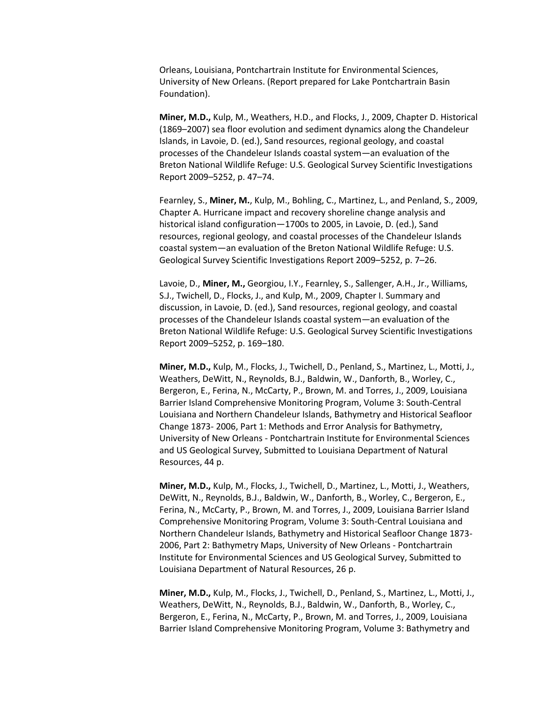Orleans, Louisiana, Pontchartrain Institute for Environmental Sciences, University of New Orleans. (Report prepared for Lake Pontchartrain Basin Foundation).

**Miner, M.D.,** Kulp, M., Weathers, H.D., and Flocks, J., 2009, Chapter D. Historical (1869–2007) sea floor evolution and sediment dynamics along the Chandeleur Islands, in Lavoie, D. (ed.), Sand resources, regional geology, and coastal processes of the Chandeleur Islands coastal system—an evaluation of the Breton National Wildlife Refuge: U.S. Geological Survey Scientific Investigations Report 2009–5252, p. 47–74.

Fearnley, S., **Miner, M.**, Kulp, M., Bohling, C., Martinez, L., and Penland, S., 2009, Chapter A. Hurricane impact and recovery shoreline change analysis and historical island configuration—1700s to 2005, in Lavoie, D. (ed.), Sand resources, regional geology, and coastal processes of the Chandeleur Islands coastal system—an evaluation of the Breton National Wildlife Refuge: U.S. Geological Survey Scientific Investigations Report 2009–5252, p. 7–26.

Lavoie, D., **Miner, M.,** Georgiou, I.Y., Fearnley, S., Sallenger, A.H., Jr., Williams, S.J., Twichell, D., Flocks, J., and Kulp, M., 2009, Chapter I. Summary and discussion, in Lavoie, D. (ed.), Sand resources, regional geology, and coastal processes of the Chandeleur Islands coastal system—an evaluation of the Breton National Wildlife Refuge: U.S. Geological Survey Scientific Investigations Report 2009–5252, p. 169–180.

**Miner, M.D.,** Kulp, M., Flocks, J., Twichell, D., Penland, S., Martinez, L., Motti, J., Weathers, DeWitt, N., Reynolds, B.J., Baldwin, W., Danforth, B., Worley, C., Bergeron, E., Ferina, N., McCarty, P., Brown, M. and Torres, J., 2009, Louisiana Barrier Island Comprehensive Monitoring Program, Volume 3: South-Central Louisiana and Northern Chandeleur Islands, Bathymetry and Historical Seafloor Change 1873- 2006, Part 1: Methods and Error Analysis for Bathymetry, University of New Orleans - Pontchartrain Institute for Environmental Sciences and US Geological Survey, Submitted to Louisiana Department of Natural Resources, 44 p.

**Miner, M.D.,** Kulp, M., Flocks, J., Twichell, D., Martinez, L., Motti, J., Weathers, DeWitt, N., Reynolds, B.J., Baldwin, W., Danforth, B., Worley, C., Bergeron, E., Ferina, N., McCarty, P., Brown, M. and Torres, J., 2009, Louisiana Barrier Island Comprehensive Monitoring Program, Volume 3: South-Central Louisiana and Northern Chandeleur Islands, Bathymetry and Historical Seafloor Change 1873- 2006, Part 2: Bathymetry Maps, University of New Orleans - Pontchartrain Institute for Environmental Sciences and US Geological Survey, Submitted to Louisiana Department of Natural Resources, 26 p.

**Miner, M.D.,** Kulp, M., Flocks, J., Twichell, D., Penland, S., Martinez, L., Motti, J., Weathers, DeWitt, N., Reynolds, B.J., Baldwin, W., Danforth, B., Worley, C., Bergeron, E., Ferina, N., McCarty, P., Brown, M. and Torres, J., 2009, Louisiana Barrier Island Comprehensive Monitoring Program, Volume 3: Bathymetry and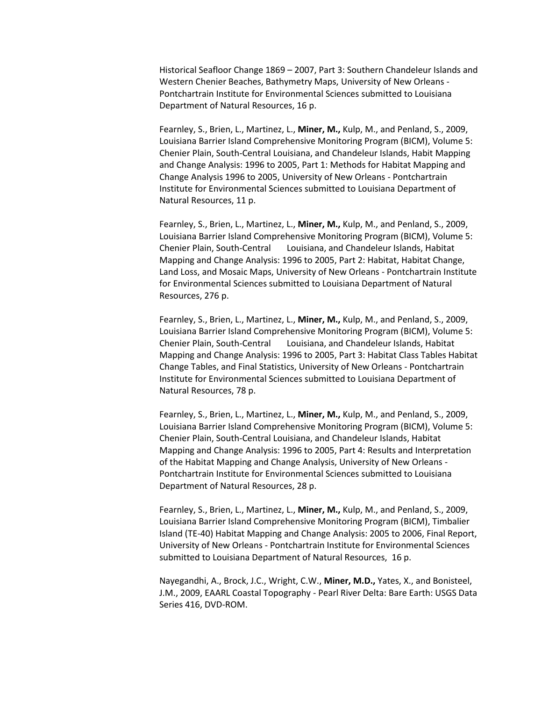Historical Seafloor Change 1869 – 2007, Part 3: Southern Chandeleur Islands and Western Chenier Beaches, Bathymetry Maps, University of New Orleans - Pontchartrain Institute for Environmental Sciences submitted to Louisiana Department of Natural Resources, 16 p.

Fearnley, S., Brien, L., Martinez, L., **Miner, M.,** Kulp, M., and Penland, S., 2009, Louisiana Barrier Island Comprehensive Monitoring Program (BICM), Volume 5: Chenier Plain, South-Central Louisiana, and Chandeleur Islands, Habit Mapping and Change Analysis: 1996 to 2005, Part 1: Methods for Habitat Mapping and Change Analysis 1996 to 2005, University of New Orleans - Pontchartrain Institute for Environmental Sciences submitted to Louisiana Department of Natural Resources, 11 p.

Fearnley, S., Brien, L., Martinez, L., **Miner, M.,** Kulp, M., and Penland, S., 2009, Louisiana Barrier Island Comprehensive Monitoring Program (BICM), Volume 5: Chenier Plain, South-Central Louisiana, and Chandeleur Islands, Habitat Mapping and Change Analysis: 1996 to 2005, Part 2: Habitat, Habitat Change, Land Loss, and Mosaic Maps, University of New Orleans - Pontchartrain Institute for Environmental Sciences submitted to Louisiana Department of Natural Resources, 276 p.

Fearnley, S., Brien, L., Martinez, L., **Miner, M.,** Kulp, M., and Penland, S., 2009, Louisiana Barrier Island Comprehensive Monitoring Program (BICM), Volume 5: Chenier Plain, South-Central Louisiana, and Chandeleur Islands, Habitat Mapping and Change Analysis: 1996 to 2005, Part 3: Habitat Class Tables Habitat Change Tables, and Final Statistics, University of New Orleans - Pontchartrain Institute for Environmental Sciences submitted to Louisiana Department of Natural Resources, 78 p.

Fearnley, S., Brien, L., Martinez, L., **Miner, M.,** Kulp, M., and Penland, S., 2009, Louisiana Barrier Island Comprehensive Monitoring Program (BICM), Volume 5: Chenier Plain, South-Central Louisiana, and Chandeleur Islands, Habitat Mapping and Change Analysis: 1996 to 2005, Part 4: Results and Interpretation of the Habitat Mapping and Change Analysis, University of New Orleans - Pontchartrain Institute for Environmental Sciences submitted to Louisiana Department of Natural Resources, 28 p.

Fearnley, S., Brien, L., Martinez, L., **Miner, M.,** Kulp, M., and Penland, S., 2009, Louisiana Barrier Island Comprehensive Monitoring Program (BICM), Timbalier Island (TE-40) Habitat Mapping and Change Analysis: 2005 to 2006, Final Report, University of New Orleans - Pontchartrain Institute for Environmental Sciences submitted to Louisiana Department of Natural Resources, 16 p.

Nayegandhi, A., Brock, J.C., Wright, C.W., **Miner, M.D.,** Yates, X., and Bonisteel, J.M., 2009, EAARL Coastal Topography - Pearl River Delta: Bare Earth: USGS Data Series 416, DVD-ROM.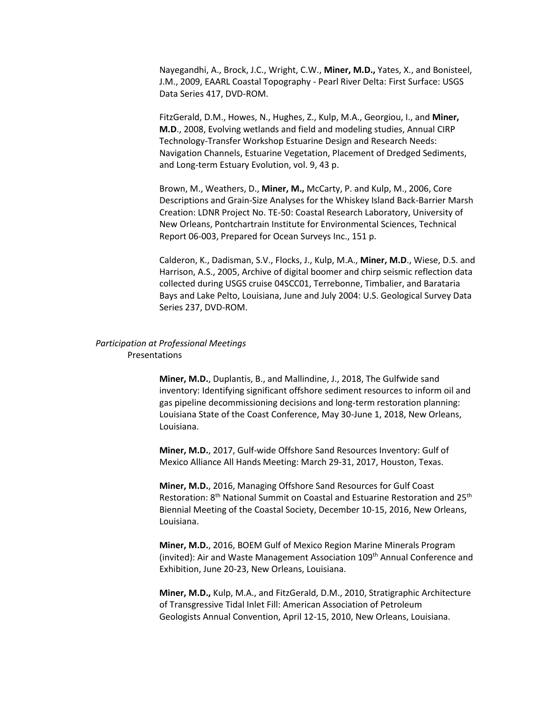Nayegandhi, A., Brock, J.C., Wright, C.W., **Miner, M.D.,** Yates, X., and Bonisteel, J.M., 2009, EAARL Coastal Topography - Pearl River Delta: First Surface: USGS Data Series 417, DVD-ROM.

FitzGerald, D.M., Howes, N., Hughes, Z., Kulp, M.A., Georgiou, I., and **Miner, M.D**., 2008, Evolving wetlands and field and modeling studies, Annual CIRP Technology-Transfer Workshop Estuarine Design and Research Needs: Navigation Channels, Estuarine Vegetation, Placement of Dredged Sediments, and Long-term Estuary Evolution, vol. 9, 43 p.

Brown, M., Weathers, D., **Miner, M.,** McCarty, P. and Kulp, M., 2006, Core Descriptions and Grain-Size Analyses for the Whiskey Island Back-Barrier Marsh Creation: LDNR Project No. TE-50: Coastal Research Laboratory, University of New Orleans, Pontchartrain Institute for Environmental Sciences, Technical Report 06-003, Prepared for Ocean Surveys Inc., 151 p.

Calderon, K., Dadisman, S.V., Flocks, J., Kulp, M.A., **Miner, M.D**., Wiese, D.S. and Harrison, A.S., 2005, Archive of digital boomer and chirp seismic reflection data collected during USGS cruise 04SCC01, Terrebonne, Timbalier, and Barataria Bays and Lake Pelto, Louisiana, June and July 2004: U.S. Geological Survey Data Series 237, DVD-ROM.

## *Participation at Professional Meetings*  Presentations

**Miner, M.D.**, Duplantis, B., and Mallindine, J., 2018, The Gulfwide sand inventory: Identifying significant offshore sediment resources to inform oil and gas pipeline decommissioning decisions and long-term restoration planning: Louisiana State of the Coast Conference, May 30-June 1, 2018, New Orleans, Louisiana.

**Miner, M.D.**, 2017, Gulf-wide Offshore Sand Resources Inventory: Gulf of Mexico Alliance All Hands Meeting: March 29-31, 2017, Houston, Texas.

**Miner, M.D.**, 2016, Managing Offshore Sand Resources for Gulf Coast Restoration: 8<sup>th</sup> National Summit on Coastal and Estuarine Restoration and 25<sup>th</sup> Biennial Meeting of the Coastal Society, December 10-15, 2016, New Orleans, Louisiana.

**Miner, M.D.**, 2016, BOEM Gulf of Mexico Region Marine Minerals Program (invited): Air and Waste Management Association 109<sup>th</sup> Annual Conference and Exhibition, June 20-23, New Orleans, Louisiana.

**Miner, M.D.,** Kulp, M.A., and FitzGerald, D.M., 2010, Stratigraphic Architecture of Transgressive Tidal Inlet Fill: American Association of Petroleum Geologists Annual Convention, April 12-15, 2010, New Orleans, Louisiana.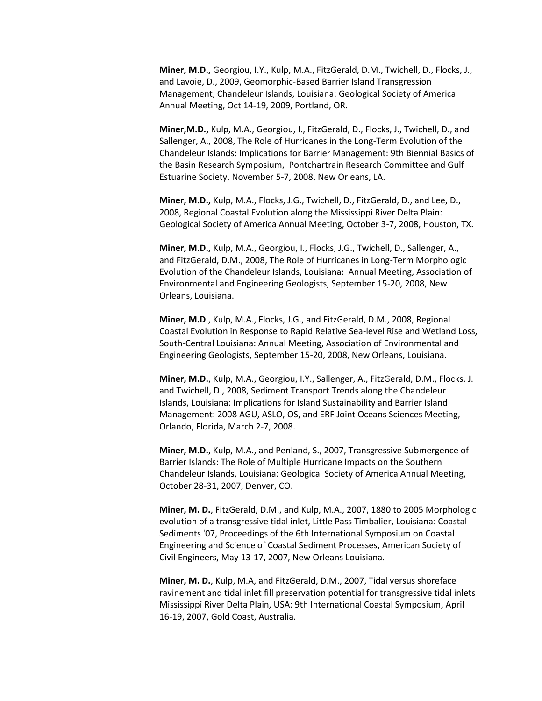**Miner, M.D.,** Georgiou, I.Y., Kulp, M.A., FitzGerald, D.M., Twichell, D., Flocks, J., and Lavoie, D., 2009, Geomorphic-Based Barrier Island Transgression Management, Chandeleur Islands, Louisiana: Geological Society of America Annual Meeting, Oct 14-19, 2009, Portland, OR.

**Miner,M.D.,** Kulp, M.A., Georgiou, I., FitzGerald, D., Flocks, J., Twichell, D., and Sallenger, A., 2008, The Role of Hurricanes in the Long-Term Evolution of the Chandeleur Islands: Implications for Barrier Management: 9th Biennial Basics of the Basin Research Symposium, Pontchartrain Research Committee and Gulf Estuarine Society, November 5-7, 2008, New Orleans, LA.

**Miner, M.D.,** Kulp, M.A., Flocks, J.G., Twichell, D., FitzGerald, D., and Lee, D., 2008, Regional Coastal Evolution along the Mississippi River Delta Plain: Geological Society of America Annual Meeting, October 3-7, 2008, Houston, TX.

**Miner, M.D.,** Kulp, M.A., Georgiou, I., Flocks, J.G., Twichell, D., Sallenger, A., and FitzGerald, D.M., 2008, The Role of Hurricanes in Long-Term Morphologic Evolution of the Chandeleur Islands, Louisiana: Annual Meeting, Association of Environmental and Engineering Geologists, September 15-20, 2008, New Orleans, Louisiana.

**Miner, M.D**., Kulp, M.A., Flocks, J.G., and FitzGerald, D.M., 2008, Regional Coastal Evolution in Response to Rapid Relative Sea-level Rise and Wetland Loss, South-Central Louisiana: Annual Meeting, Association of Environmental and Engineering Geologists, September 15-20, 2008, New Orleans, Louisiana.

**Miner, M.D.**, Kulp, M.A., Georgiou, I.Y., Sallenger, A., FitzGerald, D.M., Flocks, J. and Twichell, D., 2008, Sediment Transport Trends along the Chandeleur Islands, Louisiana: Implications for Island Sustainability and Barrier Island Management: 2008 AGU, ASLO, OS, and ERF Joint Oceans Sciences Meeting, Orlando, Florida, March 2-7, 2008.

**Miner, M.D.**, Kulp, M.A., and Penland, S., 2007, Transgressive Submergence of Barrier Islands: The Role of Multiple Hurricane Impacts on the Southern Chandeleur Islands, Louisiana: Geological Society of America Annual Meeting, October 28-31, 2007, Denver, CO.

**Miner, M. D.**, FitzGerald, D.M., and Kulp, M.A., 2007, 1880 to 2005 Morphologic evolution of a transgressive tidal inlet, Little Pass Timbalier, Louisiana: Coastal Sediments '07, Proceedings of the 6th International Symposium on Coastal Engineering and Science of Coastal Sediment Processes, American Society of Civil Engineers, May 13-17, 2007, New Orleans Louisiana.

**Miner, M. D.**, Kulp, M.A, and FitzGerald, D.M., 2007, Tidal versus shoreface ravinement and tidal inlet fill preservation potential for transgressive tidal inlets Mississippi River Delta Plain, USA: 9th International Coastal Symposium, April 16-19, 2007, Gold Coast, Australia.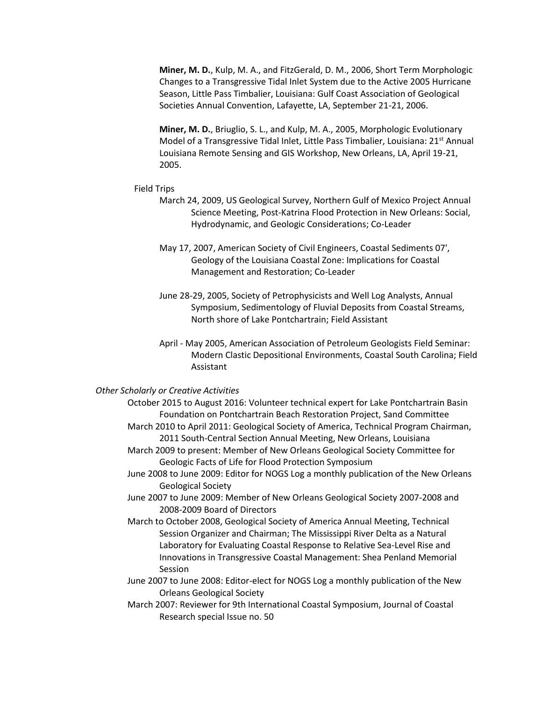**Miner, M. D.**, Kulp, M. A., and FitzGerald, D. M., 2006, Short Term Morphologic Changes to a Transgressive Tidal Inlet System due to the Active 2005 Hurricane Season, Little Pass Timbalier, Louisiana: Gulf Coast Association of Geological Societies Annual Convention, Lafayette, LA, September 21-21, 2006.

**Miner, M. D.**, Briuglio, S. L., and Kulp, M. A., 2005, Morphologic Evolutionary Model of a Transgressive Tidal Inlet, Little Pass Timbalier, Louisiana: 21<sup>st</sup> Annual Louisiana Remote Sensing and GIS Workshop, New Orleans, LA, April 19-21, 2005.

#### Field Trips

- March 24, 2009, US Geological Survey, Northern Gulf of Mexico Project Annual Science Meeting, Post-Katrina Flood Protection in New Orleans: Social, Hydrodynamic, and Geologic Considerations; Co-Leader
- May 17, 2007, American Society of Civil Engineers, Coastal Sediments 07', Geology of the Louisiana Coastal Zone: Implications for Coastal Management and Restoration; Co-Leader
- June 28-29, 2005, Society of Petrophysicists and Well Log Analysts, Annual Symposium, Sedimentology of Fluvial Deposits from Coastal Streams, North shore of Lake Pontchartrain; Field Assistant
- April May 2005, American Association of Petroleum Geologists Field Seminar: Modern Clastic Depositional Environments, Coastal South Carolina; Field Assistant

## *Other Scholarly or Creative Activities*

- October 2015 to August 2016: Volunteer technical expert for Lake Pontchartrain Basin Foundation on Pontchartrain Beach Restoration Project, Sand Committee
- March 2010 to April 2011: Geological Society of America, Technical Program Chairman, 2011 South-Central Section Annual Meeting, New Orleans, Louisiana
- March 2009 to present: Member of New Orleans Geological Society Committee for Geologic Facts of Life for Flood Protection Symposium
- June 2008 to June 2009: Editor for NOGS Log a monthly publication of the New Orleans Geological Society
- June 2007 to June 2009: Member of New Orleans Geological Society 2007-2008 and 2008-2009 Board of Directors
- March to October 2008, Geological Society of America Annual Meeting, Technical Session Organizer and Chairman; The Mississippi River Delta as a Natural Laboratory for Evaluating Coastal Response to Relative Sea-Level Rise and Innovations in Transgressive Coastal Management: Shea Penland Memorial Session
- June 2007 to June 2008: Editor-elect for NOGS Log a monthly publication of the New Orleans Geological Society
- March 2007: Reviewer for 9th International Coastal Symposium, Journal of Coastal Research special Issue no. 50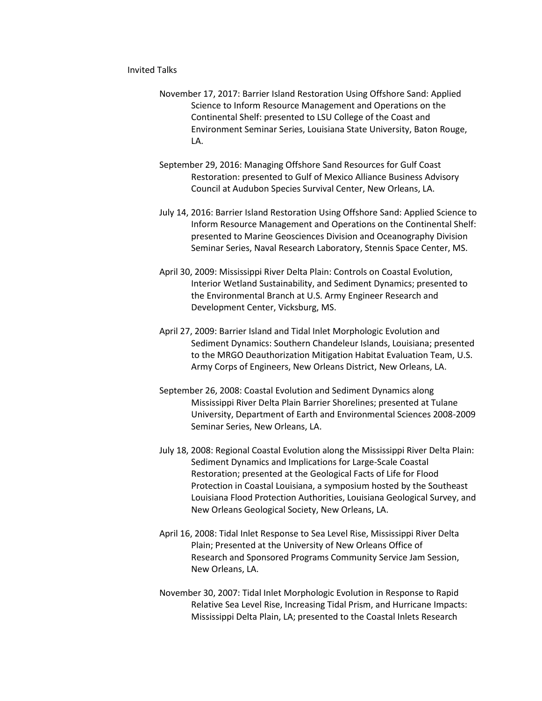### Invited Talks

- November 17, 2017: Barrier Island Restoration Using Offshore Sand: Applied Science to Inform Resource Management and Operations on the Continental Shelf: presented to LSU College of the Coast and Environment Seminar Series, Louisiana State University, Baton Rouge, LA.
- September 29, 2016: Managing Offshore Sand Resources for Gulf Coast Restoration: presented to Gulf of Mexico Alliance Business Advisory Council at Audubon Species Survival Center, New Orleans, LA.
- July 14, 2016: Barrier Island Restoration Using Offshore Sand: Applied Science to Inform Resource Management and Operations on the Continental Shelf: presented to Marine Geosciences Division and Oceanography Division Seminar Series, Naval Research Laboratory, Stennis Space Center, MS.
- April 30, 2009: Mississippi River Delta Plain: Controls on Coastal Evolution, Interior Wetland Sustainability, and Sediment Dynamics; presented to the Environmental Branch at U.S. Army Engineer Research and Development Center, Vicksburg, MS.
- April 27, 2009: Barrier Island and Tidal Inlet Morphologic Evolution and Sediment Dynamics: Southern Chandeleur Islands, Louisiana; presented to the MRGO Deauthorization Mitigation Habitat Evaluation Team, U.S. Army Corps of Engineers, New Orleans District, New Orleans, LA.
- September 26, 2008: Coastal Evolution and Sediment Dynamics along Mississippi River Delta Plain Barrier Shorelines; presented at Tulane University, Department of Earth and Environmental Sciences 2008-2009 Seminar Series, New Orleans, LA.
- July 18, 2008: Regional Coastal Evolution along the Mississippi River Delta Plain: Sediment Dynamics and Implications for Large-Scale Coastal Restoration; presented at the Geological Facts of Life for Flood Protection in Coastal Louisiana, a symposium hosted by the Southeast Louisiana Flood Protection Authorities, Louisiana Geological Survey, and New Orleans Geological Society, New Orleans, LA.
- April 16, 2008: Tidal Inlet Response to Sea Level Rise, Mississippi River Delta Plain; Presented at the University of New Orleans Office of Research and Sponsored Programs Community Service Jam Session, New Orleans, LA.
- November 30, 2007: Tidal Inlet Morphologic Evolution in Response to Rapid Relative Sea Level Rise, Increasing Tidal Prism, and Hurricane Impacts: Mississippi Delta Plain, LA; presented to the Coastal Inlets Research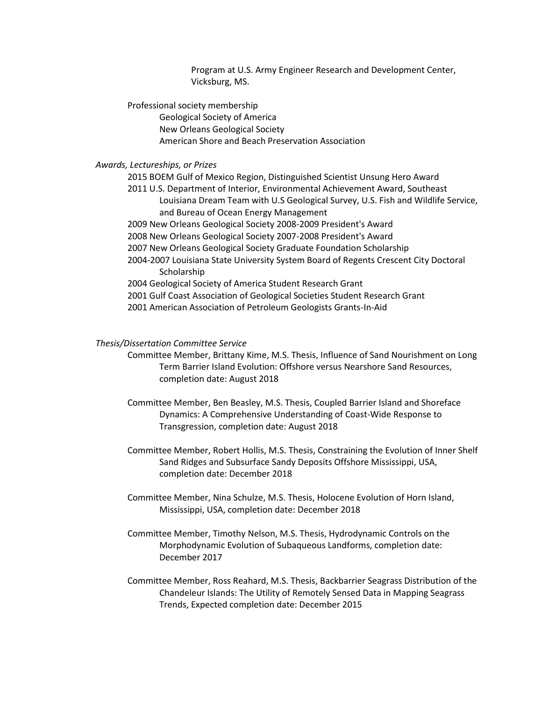Program at U.S. Army Engineer Research and Development Center, Vicksburg, MS.

Professional society membership Geological Society of America New Orleans Geological Society American Shore and Beach Preservation Association

## *Awards, Lectureships, or Prizes*

2015 BOEM Gulf of Mexico Region, Distinguished Scientist Unsung Hero Award 2011 U.S. Department of Interior, Environmental Achievement Award, Southeast Louisiana Dream Team with U.S Geological Survey, U.S. Fish and Wildlife Service, and Bureau of Ocean Energy Management 2009 New Orleans Geological Society 2008-2009 President's Award 2008 New Orleans Geological Society 2007-2008 President's Award 2007 New Orleans Geological Society Graduate Foundation Scholarship 2004-2007 Louisiana State University System Board of Regents Crescent City Doctoral **Scholarship** 2004 Geological Society of America Student Research Grant 2001 Gulf Coast Association of Geological Societies Student Research Grant 2001 American Association of Petroleum Geologists Grants-In-Aid

### *Thesis/Dissertation Committee Service*

- Committee Member, Brittany Kime, M.S. Thesis, Influence of Sand Nourishment on Long Term Barrier Island Evolution: Offshore versus Nearshore Sand Resources, completion date: August 2018
- Committee Member, Ben Beasley, M.S. Thesis, Coupled Barrier Island and Shoreface Dynamics: A Comprehensive Understanding of Coast-Wide Response to Transgression, completion date: August 2018
- Committee Member, Robert Hollis, M.S. Thesis, Constraining the Evolution of Inner Shelf Sand Ridges and Subsurface Sandy Deposits Offshore Mississippi, USA, completion date: December 2018
- Committee Member, Nina Schulze, M.S. Thesis, Holocene Evolution of Horn Island, Mississippi, USA, completion date: December 2018
- Committee Member, Timothy Nelson, M.S. Thesis, Hydrodynamic Controls on the Morphodynamic Evolution of Subaqueous Landforms, completion date: December 2017
- Committee Member, Ross Reahard, M.S. Thesis, Backbarrier Seagrass Distribution of the Chandeleur Islands: The Utility of Remotely Sensed Data in Mapping Seagrass Trends, Expected completion date: December 2015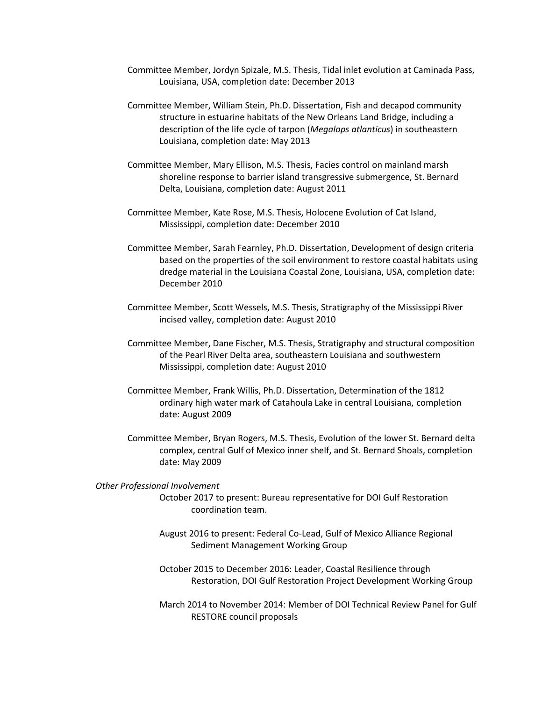- Committee Member, Jordyn Spizale, M.S. Thesis, Tidal inlet evolution at Caminada Pass, Louisiana, USA, completion date: December 2013
- Committee Member, William Stein, Ph.D. Dissertation, Fish and decapod community structure in estuarine habitats of the New Orleans Land Bridge, including a description of the life cycle of tarpon (*Megalops atlanticus*) in southeastern Louisiana, completion date: May 2013
- Committee Member, Mary Ellison, M.S. Thesis, Facies control on mainland marsh shoreline response to barrier island transgressive submergence, St. Bernard Delta, Louisiana, completion date: August 2011
- Committee Member, Kate Rose, M.S. Thesis, Holocene Evolution of Cat Island, Mississippi, completion date: December 2010
- Committee Member, Sarah Fearnley, Ph.D. Dissertation, Development of design criteria based on the properties of the soil environment to restore coastal habitats using dredge material in the Louisiana Coastal Zone, Louisiana, USA, completion date: December 2010
- Committee Member, Scott Wessels, M.S. Thesis, Stratigraphy of the Mississippi River incised valley, completion date: August 2010
- Committee Member, Dane Fischer, M.S. Thesis, Stratigraphy and structural composition of the Pearl River Delta area, southeastern Louisiana and southwestern Mississippi, completion date: August 2010
- Committee Member, Frank Willis, Ph.D. Dissertation, Determination of the 1812 ordinary high water mark of Catahoula Lake in central Louisiana, completion date: August 2009
- Committee Member, Bryan Rogers, M.S. Thesis, Evolution of the lower St. Bernard delta complex, central Gulf of Mexico inner shelf, and St. Bernard Shoals, completion date: May 2009

*Other Professional Involvement* October 2017 to present: Bureau representative for DOI Gulf Restoration coordination team.

- August 2016 to present: Federal Co-Lead, Gulf of Mexico Alliance Regional Sediment Management Working Group
- October 2015 to December 2016: Leader, Coastal Resilience through Restoration, DOI Gulf Restoration Project Development Working Group
- March 2014 to November 2014: Member of DOI Technical Review Panel for Gulf RESTORE council proposals